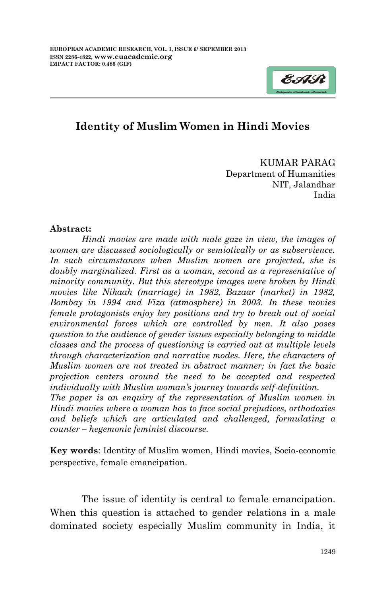

## **Identity of Muslim Women in Hindi Movies**

KUMAR PARAG Department of Humanities NIT, Jalandhar India

## **Abstract:**

*Hindi movies are made with male gaze in view, the images of women are discussed sociologically or semiotically or as subservience. In such circumstances when Muslim women are projected, she is doubly marginalized. First as a woman, second as a representative of minority community. But this stereotype images were broken by Hindi movies like Nikaah (marriage) in 1982, Bazaar (market) in 1982, Bombay in 1994 and Fiza (atmosphere) in 2003. In these movies female protagonists enjoy key positions and try to break out of social environmental forces which are controlled by men. It also poses question to the audience of gender issues especially belonging to middle classes and the process of questioning is carried out at multiple levels through characterization and narrative modes. Here, the characters of Muslim women are not treated in abstract manner; in fact the basic projection centers around the need to be accepted and respected individually with Muslim woman's journey towards self-definition.*

*The paper is an enquiry of the representation of Muslim women in Hindi movies where a woman has to face social prejudices, orthodoxies and beliefs which are articulated and challenged, formulating a counter – hegemonic feminist discourse.*

**Key words**: Identity of Muslim women, Hindi movies, Socio-economic perspective, female emancipation.

The issue of identity is central to female emancipation. When this question is attached to gender relations in a male dominated society especially Muslim community in India, it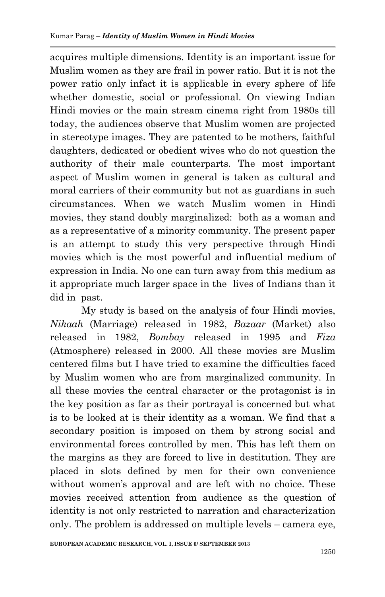acquires multiple dimensions. Identity is an important issue for Muslim women as they are frail in power ratio. But it is not the power ratio only infact it is applicable in every sphere of life whether domestic, social or professional. On viewing Indian Hindi movies or the main stream cinema right from 1980s till today, the audiences observe that Muslim women are projected in stereotype images. They are patented to be mothers, faithful daughters, dedicated or obedient wives who do not question the authority of their male counterparts. The most important aspect of Muslim women in general is taken as cultural and moral carriers of their community but not as guardians in such circumstances. When we watch Muslim women in Hindi movies, they stand doubly marginalized: both as a woman and as a representative of a minority community. The present paper is an attempt to study this very perspective through Hindi movies which is the most powerful and influential medium of expression in India. No one can turn away from this medium as it appropriate much larger space in the lives of Indians than it did in past.

My study is based on the analysis of four Hindi movies, *Nikaah* (Marriage) released in 1982, *Bazaar* (Market) also released in 1982, *Bombay* released in 1995 and *Fiza*  (Atmosphere) released in 2000. All these movies are Muslim centered films but I have tried to examine the difficulties faced by Muslim women who are from marginalized community. In all these movies the central character or the protagonist is in the key position as far as their portrayal is concerned but what is to be looked at is their identity as a woman. We find that a secondary position is imposed on them by strong social and environmental forces controlled by men. This has left them on the margins as they are forced to live in destitution. They are placed in slots defined by men for their own convenience without women's approval and are left with no choice. These movies received attention from audience as the question of identity is not only restricted to narration and characterization only. The problem is addressed on multiple levels – camera eye,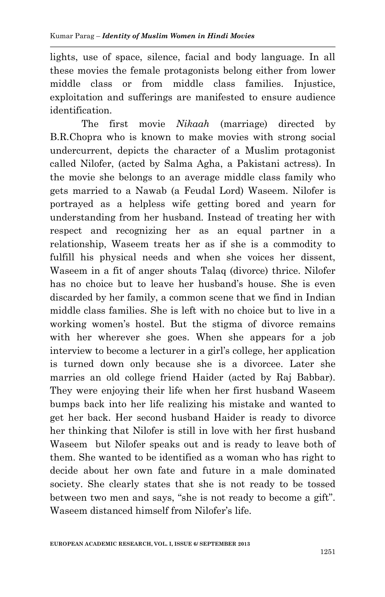lights, use of space, silence, facial and body language. In all these movies the female protagonists belong either from lower middle class or from middle class families. Injustice, exploitation and sufferings are manifested to ensure audience identification.

The first movie *Nikaah* (marriage) directed by B.R.Chopra who is known to make movies with strong social undercurrent, depicts the character of a Muslim protagonist called Nilofer, (acted by Salma Agha, a Pakistani actress). In the movie she belongs to an average middle class family who gets married to a Nawab (a Feudal Lord) Waseem. Nilofer is portrayed as a helpless wife getting bored and yearn for understanding from her husband. Instead of treating her with respect and recognizing her as an equal partner in a relationship, Waseem treats her as if she is a commodity to fulfill his physical needs and when she voices her dissent, Waseem in a fit of anger shouts Talaq (divorce) thrice. Nilofer has no choice but to leave her husband"s house. She is even discarded by her family, a common scene that we find in Indian middle class families. She is left with no choice but to live in a working women"s hostel. But the stigma of divorce remains with her wherever she goes. When she appears for a job interview to become a lecturer in a girl"s college, her application is turned down only because she is a divorcee. Later she marries an old college friend Haider (acted by Raj Babbar). They were enjoying their life when her first husband Waseem bumps back into her life realizing his mistake and wanted to get her back. Her second husband Haider is ready to divorce her thinking that Nilofer is still in love with her first husband Waseem but Nilofer speaks out and is ready to leave both of them. She wanted to be identified as a woman who has right to decide about her own fate and future in a male dominated society. She clearly states that she is not ready to be tossed between two men and says, "she is not ready to become a gift". Waseem distanced himself from Nilofer"s life.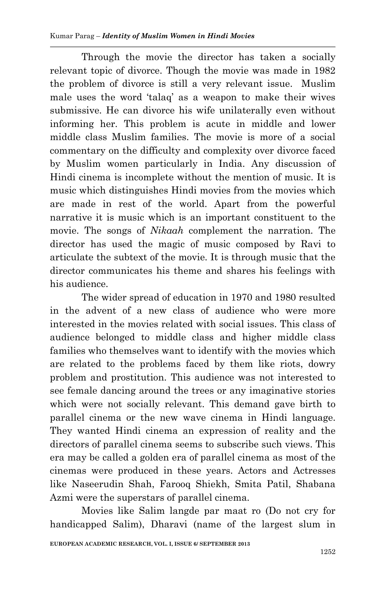Through the movie the director has taken a socially relevant topic of divorce. Though the movie was made in 1982 the problem of divorce is still a very relevant issue. Muslim male uses the word "talaq" as a weapon to make their wives submissive. He can divorce his wife unilaterally even without informing her. This problem is acute in middle and lower middle class Muslim families. The movie is more of a social commentary on the difficulty and complexity over divorce faced by Muslim women particularly in India. Any discussion of Hindi cinema is incomplete without the mention of music. It is music which distinguishes Hindi movies from the movies which are made in rest of the world. Apart from the powerful narrative it is music which is an important constituent to the movie. The songs of *Nikaah* complement the narration. The director has used the magic of music composed by Ravi to articulate the subtext of the movie. It is through music that the director communicates his theme and shares his feelings with his audience.

The wider spread of education in 1970 and 1980 resulted in the advent of a new class of audience who were more interested in the movies related with social issues. This class of audience belonged to middle class and higher middle class families who themselves want to identify with the movies which are related to the problems faced by them like riots, dowry problem and prostitution. This audience was not interested to see female dancing around the trees or any imaginative stories which were not socially relevant. This demand gave birth to parallel cinema or the new wave cinema in Hindi language. They wanted Hindi cinema an expression of reality and the directors of parallel cinema seems to subscribe such views. This era may be called a golden era of parallel cinema as most of the cinemas were produced in these years. Actors and Actresses like Naseerudin Shah, Farooq Shiekh, Smita Patil, Shabana Azmi were the superstars of parallel cinema.

Movies like Salim langde par maat ro (Do not cry for handicapped Salim), Dharavi (name of the largest slum in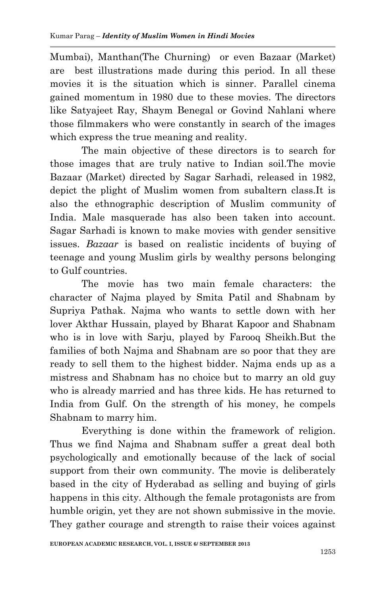Mumbai), Manthan(The Churning) or even Bazaar (Market) are best illustrations made during this period. In all these movies it is the situation which is sinner. Parallel cinema gained momentum in 1980 due to these movies. The directors like Satyajeet Ray, Shaym Benegal or Govind Nahlani where those filmmakers who were constantly in search of the images which express the true meaning and reality.

The main objective of these directors is to search for those images that are truly native to Indian soil.The movie Bazaar (Market) directed by Sagar Sarhadi, released in 1982, depict the plight of Muslim women from subaltern class.It is also the ethnographic description of Muslim community of India. Male masquerade has also been taken into account. Sagar Sarhadi is known to make movies with gender sensitive issues. *Bazaar* is based on realistic incidents of buying of teenage and young Muslim girls by wealthy persons belonging to Gulf countries.

The movie has two main female characters: the character of Najma played by Smita Patil and Shabnam by Supriya Pathak. Najma who wants to settle down with her lover Akthar Hussain, played by Bharat Kapoor and Shabnam who is in love with Sarju, played by Farooq Sheikh.But the families of both Najma and Shabnam are so poor that they are ready to sell them to the highest bidder. Najma ends up as a mistress and Shabnam has no choice but to marry an old guy who is already married and has three kids. He has returned to India from Gulf. On the strength of his money, he compels Shabnam to marry him.

Everything is done within the framework of religion. Thus we find Najma and Shabnam suffer a great deal both psychologically and emotionally because of the lack of social support from their own community. The movie is deliberately based in the city of Hyderabad as selling and buying of girls happens in this city. Although the female protagonists are from humble origin, yet they are not shown submissive in the movie. They gather courage and strength to raise their voices against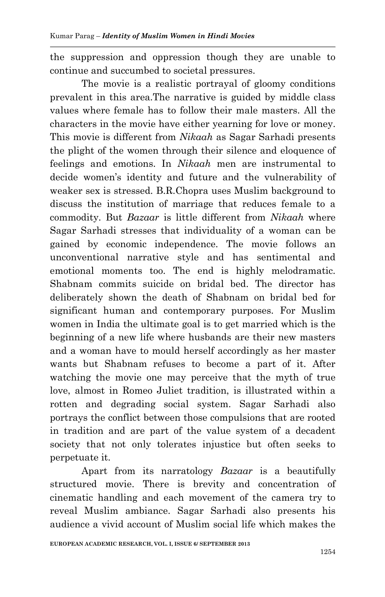the suppression and oppression though they are unable to continue and succumbed to societal pressures.

The movie is a realistic portrayal of gloomy conditions prevalent in this area.The narrative is guided by middle class values where female has to follow their male masters. All the characters in the movie have either yearning for love or money. This movie is different from *Nikaah* as Sagar Sarhadi presents the plight of the women through their silence and eloquence of feelings and emotions. In *Nikaah* men are instrumental to decide women"s identity and future and the vulnerability of weaker sex is stressed. B.R.Chopra uses Muslim background to discuss the institution of marriage that reduces female to a commodity. But *Bazaar* is little different from *Nikaah* where Sagar Sarhadi stresses that individuality of a woman can be gained by economic independence. The movie follows an unconventional narrative style and has sentimental and emotional moments too. The end is highly melodramatic. Shabnam commits suicide on bridal bed. The director has deliberately shown the death of Shabnam on bridal bed for significant human and contemporary purposes. For Muslim women in India the ultimate goal is to get married which is the beginning of a new life where husbands are their new masters and a woman have to mould herself accordingly as her master wants but Shabnam refuses to become a part of it. After watching the movie one may perceive that the myth of true love, almost in Romeo Juliet tradition, is illustrated within a rotten and degrading social system. Sagar Sarhadi also portrays the conflict between those compulsions that are rooted in tradition and are part of the value system of a decadent society that not only tolerates injustice but often seeks to perpetuate it.

Apart from its narratology *Bazaar* is a beautifully structured movie. There is brevity and concentration of cinematic handling and each movement of the camera try to reveal Muslim ambiance. Sagar Sarhadi also presents his audience a vivid account of Muslim social life which makes the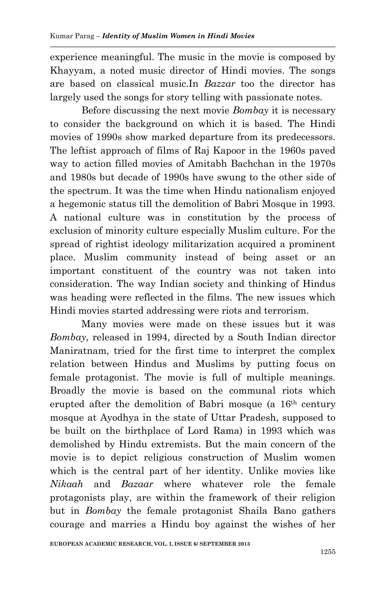experience meaningful. The music in the movie is composed by Khayyam, a noted music director of Hindi movies. The songs are based on classical music.In *Bazzar* too the director has largely used the songs for story telling with passionate notes.

Before discussing the next movie *Bombay* it is necessary to consider the background on which it is based. The Hindi movies of 1990s show marked departure from its predecessors. The leftist approach of films of Raj Kapoor in the 1960s paved way to action filled movies of Amitabh Bachchan in the 1970s and 1980s but decade of 1990s have swung to the other side of the spectrum. It was the time when Hindu nationalism enjoyed a hegemonic status till the demolition of Babri Mosque in 1993. A national culture was in constitution by the process of exclusion of minority culture especially Muslim culture. For the spread of rightist ideology militarization acquired a prominent place. Muslim community instead of being asset or an important constituent of the country was not taken into consideration. The way Indian society and thinking of Hindus was heading were reflected in the films. The new issues which Hindi movies started addressing were riots and terrorism.

Many movies were made on these issues but it was *Bombay*, released in 1994, directed by a South Indian director Maniratnam, tried for the first time to interpret the complex relation between Hindus and Muslims by putting focus on female protagonist. The movie is full of multiple meanings. Broadly the movie is based on the communal riots which erupted after the demolition of Babri mosque (a 16th century mosque at Ayodhya in the state of Uttar Pradesh, supposed to be built on the birthplace of Lord Rama) in 1993 which was demolished by Hindu extremists. But the main concern of the movie is to depict religious construction of Muslim women which is the central part of her identity. Unlike movies like *Nikaah* and *Bazaar* where whatever role the female protagonists play, are within the framework of their religion but in *Bombay* the female protagonist Shaila Bano gathers courage and marries a Hindu boy against the wishes of her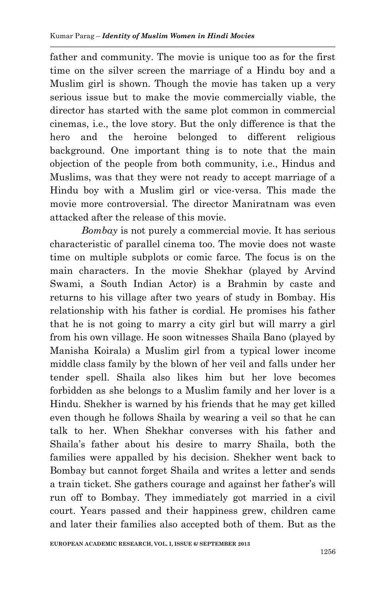father and community. The movie is unique too as for the first time on the silver screen the marriage of a Hindu boy and a Muslim girl is shown. Though the movie has taken up a very serious issue but to make the movie commercially viable, the director has started with the same plot common in commercial cinemas, i.e., the love story. But the only difference is that the hero and the heroine belonged to different religious background. One important thing is to note that the main objection of the people from both community, i.e., Hindus and Muslims, was that they were not ready to accept marriage of a Hindu boy with a Muslim girl or vice-versa. This made the movie more controversial. The director Maniratnam was even attacked after the release of this movie.

*Bombay* is not purely a commercial movie. It has serious characteristic of parallel cinema too. The movie does not waste time on multiple subplots or comic farce. The focus is on the main characters. In the movie Shekhar (played by Arvind Swami, a South Indian Actor) is a Brahmin by caste and returns to his village after two years of study in Bombay. His relationship with his father is cordial. He promises his father that he is not going to marry a city girl but will marry a girl from his own village. He soon witnesses Shaila Bano (played by Manisha Koirala) a Muslim girl from a typical lower income middle class family by the blown of her veil and falls under her tender spell. Shaila also likes him but her love becomes forbidden as she belongs to a Muslim family and her lover is a Hindu. Shekher is warned by his friends that he may get killed even though he follows Shaila by wearing a veil so that he can talk to her. When Shekhar converses with his father and Shaila"s father about his desire to marry Shaila, both the families were appalled by his decision. Shekher went back to Bombay but cannot forget Shaila and writes a letter and sends a train ticket. She gathers courage and against her father"s will run off to Bombay. They immediately got married in a civil court. Years passed and their happiness grew, children came and later their families also accepted both of them. But as the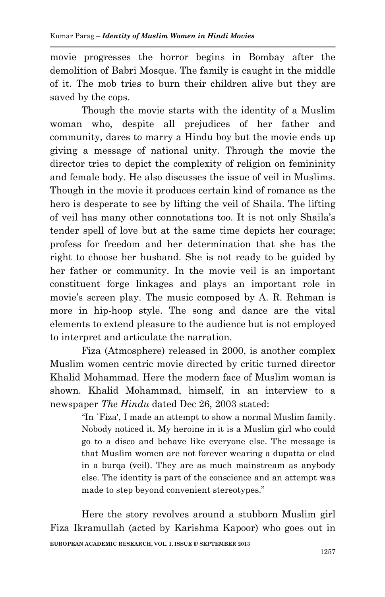movie progresses the horror begins in Bombay after the demolition of Babri Mosque. The family is caught in the middle of it. The mob tries to burn their children alive but they are saved by the cops.

Though the movie starts with the identity of a Muslim woman who, despite all prejudices of her father and community, dares to marry a Hindu boy but the movie ends up giving a message of national unity. Through the movie the director tries to depict the complexity of religion on femininity and female body. He also discusses the issue of veil in Muslims. Though in the movie it produces certain kind of romance as the hero is desperate to see by lifting the veil of Shaila. The lifting of veil has many other connotations too. It is not only Shaila"s tender spell of love but at the same time depicts her courage; profess for freedom and her determination that she has the right to choose her husband. She is not ready to be guided by her father or community. In the movie veil is an important constituent forge linkages and plays an important role in movie's screen play. The music composed by A. R. Rehman is more in hip-hoop style. The song and dance are the vital elements to extend pleasure to the audience but is not employed to interpret and articulate the narration.

Fiza (Atmosphere) released in 2000, is another complex Muslim women centric movie directed by critic turned director Khalid Mohammad. Here the modern face of Muslim woman is shown. Khalid Mohammad, himself, in an interview to a newspaper *The Hindu* dated Dec 26, 2003 stated:

> "In `Fiza', I made an attempt to show a normal Muslim family. Nobody noticed it. My heroine in it is a Muslim girl who could go to a disco and behave like everyone else. The message is that Muslim women are not forever wearing a dupatta or clad in a burqa (veil). They are as much mainstream as anybody else. The identity is part of the conscience and an attempt was made to step beyond convenient stereotypes."

**EUROPEAN ACADEMIC RESEARCH, VOL. I, ISSUE 6/ SEPTEMBER 2013** Here the story revolves around a stubborn Muslim girl Fiza Ikramullah (acted by Karishma Kapoor) who goes out in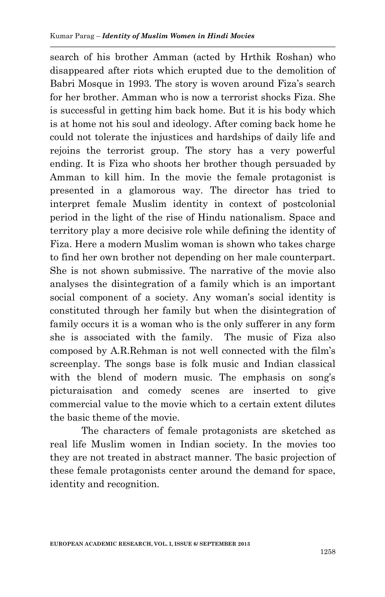search of his brother Amman (acted by Hrthik Roshan) who disappeared after riots which erupted due to the demolition of Babri Mosque in 1993. The story is woven around Fiza's search for her brother. Amman who is now a terrorist shocks Fiza. She is successful in getting him back home. But it is his body which is at home not his soul and ideology. After coming back home he could not tolerate the injustices and hardships of daily life and rejoins the terrorist group. The story has a very powerful ending. It is Fiza who shoots her brother though persuaded by Amman to kill him. In the movie the female protagonist is presented in a glamorous way. The director has tried to interpret female Muslim identity in context of postcolonial period in the light of the rise of Hindu nationalism. Space and territory play a more decisive role while defining the identity of Fiza. Here a modern Muslim woman is shown who takes charge to find her own brother not depending on her male counterpart. She is not shown submissive. The narrative of the movie also analyses the disintegration of a family which is an important social component of a society. Any woman's social identity is constituted through her family but when the disintegration of family occurs it is a woman who is the only sufferer in any form she is associated with the family. The music of Fiza also composed by A.R.Rehman is not well connected with the film"s screenplay. The songs base is folk music and Indian classical with the blend of modern music. The emphasis on song's picturaisation and comedy scenes are inserted to give commercial value to the movie which to a certain extent dilutes the basic theme of the movie.

The characters of female protagonists are sketched as real life Muslim women in Indian society. In the movies too they are not treated in abstract manner. The basic projection of these female protagonists center around the demand for space, identity and recognition.